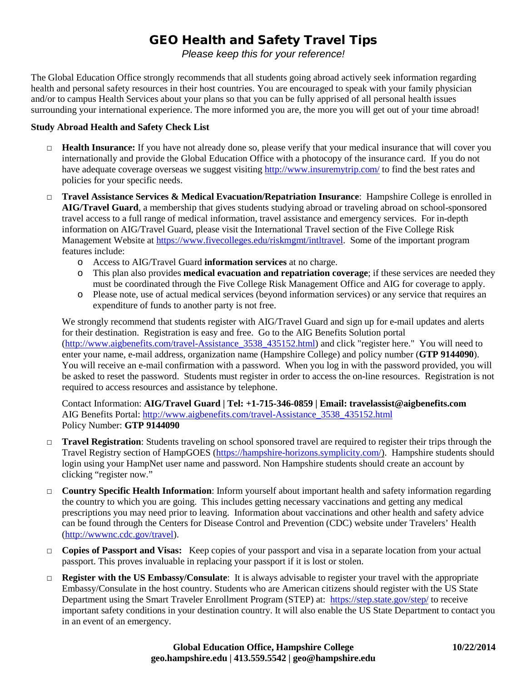# GEO Health and Safety Travel Tips

*Please keep this for your reference!*

The Global Education Office strongly recommends that all students going abroad actively seek information regarding health and personal safety resources in their host countries. You are encouraged to speak with your family physician and/or to campus Health Services about your plans so that you can be fully apprised of all personal health issues surrounding your international experience. The more informed you are, the more you will get out of your time abroad!

### **Study Abroad Health and Safety Check List**

- □ **Health Insurance:** If you have not already done so, please verify that your medical insurance that will cover you internationally and provide the Global Education Office with a photocopy of the insurance card. If you do not have adequate coverage overseas we suggest visiting<http://www.insuremytrip.com/> to find the best rates and policies for your specific needs.
- □ **Travel Assistance Services & Medical Evacuation/Repatriation Insurance**: Hampshire College is enrolled in **AIG/Travel Guard**, a membership that gives students studying abroad or traveling abroad on school-sponsored travel access to a full range of medical information, travel assistance and emergency services. For in-depth information on AIG/Travel Guard, please visit the International Travel section of the Five College Risk Management Website a[t https://www.fivecolleges.edu/riskmgmt/intltravel.](https://www.fivecolleges.edu/riskmgmt/intltravel) Some of the important program features include:
	- o Access to AIG/Travel Guard **information services** at no charge.
	- o This plan also provides **medical evacuation and repatriation coverage**; if these services are needed they must be coordinated through the Five College Risk Management Office and AIG for coverage to apply.
	- o Please note, use of actual medical services (beyond information services) or any service that requires an expenditure of funds to another party is not free.

We strongly recommend that students register with AIG/Travel Guard and sign up for e-mail updates and alerts for their destination. Registration is easy and free. Go to the AIG Benefits Solution portal [\(http://www.aigbenefits.com/travel-Assistance\\_3538\\_435152.html\)](http://www.aigbenefits.com/travel-Assistance_3538_435152.html) and click "register here." You will need to enter your name, e-mail address, organization name (Hampshire College) and policy number (**GTP 9144090**). You will receive an e-mail confirmation with a password. When you log in with the password provided, you will be asked to reset the password. Students must register in order to access the on-line resources. Registration is not required to access resources and assistance by telephone.

Contact Information: **AIG/Travel Guard | Tel: +1-715-346-0859 | Email: travelassist@aigbenefits.com** AIG Benefits Portal: [http://www.aigbenefits.com/travel-Assistance\\_3538\\_435152.html](http://www.aigbenefits.com/travel-Assistance_3538_435152.html) Policy Number: **GTP 9144090**

- □ **Travel Registration**: Students traveling on school sponsored travel are required to register their trips through the Travel Registry section of HampGOES [\(https://hampshire-horizons.symplicity.com/\)](https://hampshire-horizons.symplicity.com/). Hampshire students should login using your HampNet user name and password. Non Hampshire students should create an account by clicking "register now."
- □ **Country Specific Health Information**: Inform yourself about important health and safety information regarding the country to which you are going. This includes getting necessary vaccinations and getting any medical prescriptions you may need prior to leaving. Information about vaccinations and other health and safety advice can be found through the Centers for Disease Control and Prevention (CDC) website under Travelers' Health [\(http://wwwnc.cdc.gov/travel\)](http://wwwnc.cdc.gov/travel).
- □ **Copies of Passport and Visas:** Keep copies of your passport and visa in a separate location from your actual passport. This proves invaluable in replacing your passport if it is lost or stolen.
- □ **Register with the US Embassy/Consulate**: It is always advisable to register your travel with the appropriate Embassy/Consulate in the host country. Students who are American citizens should register with the US State Department using the Smart Traveler Enrollment Program (STEP) at:<https://step.state.gov/step/> to receive important safety conditions in your destination country. It will also enable the US State Department to contact you in an event of an emergency.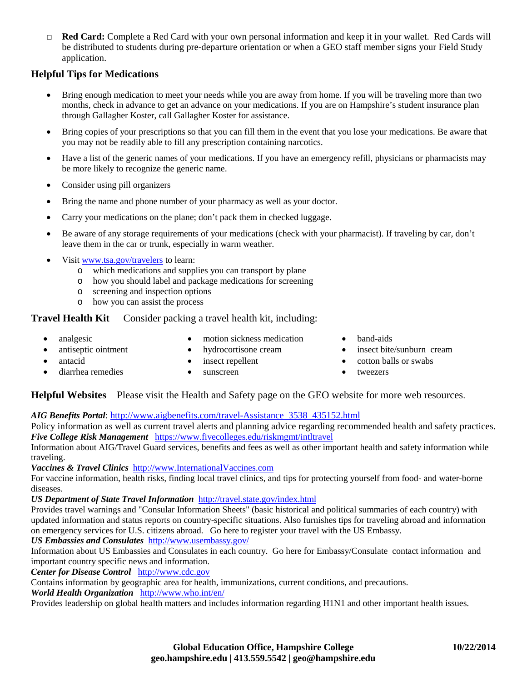□ **Red Card:** Complete a Red Card with your own personal information and keep it in your wallet. Red Cards will be distributed to students during pre-departure orientation or when a GEO staff member signs your Field Study application.

### **Helpful Tips for Medications**

- Bring enough medication to meet your needs while you are away from home. If you will be traveling more than two months, check in advance to get an advance on your medications. If you are on Hampshire's student insurance plan through Gallagher Koster, call Gallagher Koster for assistance.
- Bring copies of your prescriptions so that you can fill them in the event that you lose your medications. Be aware that you may not be readily able to fill any prescription containing narcotics.
- Have a list of the generic names of your medications. If you have an emergency refill, physicians or pharmacists may be more likely to recognize the generic name.
- Consider using pill organizers
- Bring the name and phone number of your pharmacy as well as your doctor.
- Carry your medications on the plane; don't pack them in checked luggage.
- Be aware of any storage requirements of your medications (check with your pharmacist). If traveling by car, don't leave them in the car or trunk, especially in warm weather.
- Visit [www.tsa.gov/travelers](http://www.tsa.gov/travelers) to learn:
	- o which medications and supplies you can transport by plane
	- o how you should label and package medications for screening
	- o screening and inspection options
	- o how you can assist the process

**Travel Health Kit** Consider packing a travel health kit, including:

- - analgesic motion sickness medication band-aids
- 
- 
- 
- e hydrocortisone cream insect bite/sunburn cream insect bite/sunburn cream
- - extend antacid insect repellent cotton balls or swabs
		-
	- diarrhea remedies sunscreen sunscreen tweezers

**Helpful Websites** Please visit the Health and Safety page on the GEO website for more web resources.

*AIG Benefits Portal*: [http://www.aigbenefits.com/travel-Assistance\\_3538\\_435152.html](http://www.aigbenefits.com/travel-Assistance_3538_435152.html)

Policy information as well as current travel alerts and planning advice regarding recommended health and safety practices. *Five College Risk Management* <https://www.fivecolleges.edu/riskmgmt/intltravel>

Information about AIG/Travel Guard services, benefits and fees as well as other important health and safety information while traveling.

*Vaccines & Travel Clinics* [http://www.InternationalVaccines.com](http://www.internationalvaccines.com/)

For vaccine information, health risks, finding local travel clinics, and tips for protecting yourself from food- and water-borne diseases.

### *US Department of State Travel Information*<http://travel.state.gov/index.html>

Provides travel warnings and "Consular Information Sheets" (basic historical and political summaries of each country) with updated information and status reports on country-specific situations. Also furnishes tips for traveling abroad and information on emergency services for U.S. citizens abroad. Go here to register your travel with the US Embassy.

## *US Embassies and Consulates* <http://www.usembassy.gov/>

Information about US Embassies and Consulates in each country. Go here for Embassy/Consulate contact information and important country specific news and information.

*Center for Disease Control* [http://www.cdc.gov](http://www.cdc.gov/)

Contains information by geographic area for health, immunizations, current conditions, and precautions.

*World Health Organization* <http://www.who.int/en/>

Provides leadership on global health matters and includes information regarding H1N1 and other important health issues.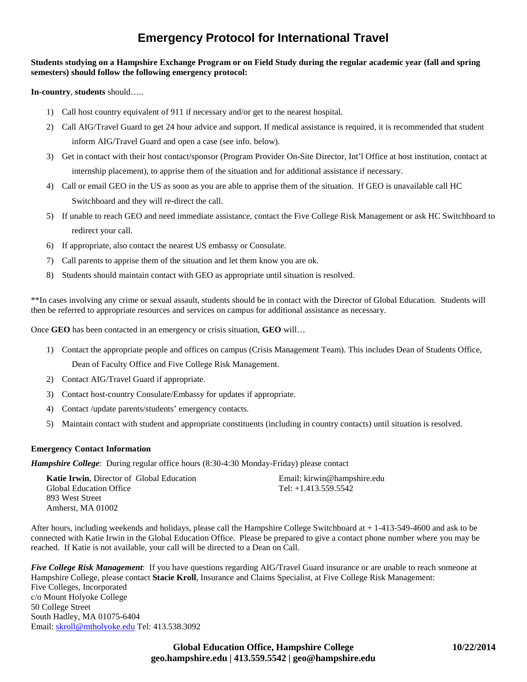## **Emergency Protocol for International Travel**

### **Students studying on a Hampshire Exchange Program or on Field Study during the regular academic year (fall and spring semesters) should follow the following emergency protocol:**

**In-country**, **students** should…..

- 1) Call host country equivalent of 911 if necessary and/or get to the nearest hospital.
- 2) Call AIG/Travel Guard to get 24 hour advice and support. If medical assistance is required, it is recommended that student inform AIG/Travel Guard and open a case (see info. below).
- 3) Get in contact with their host contact/sponsor (Program Provider On-Site Director, Int'l Office at host institution, contact at internship placement), to apprise them of the situation and for additional assistance if necessary.
- 4) Call or email GEO in the US as soon as you are able to apprise them of the situation. If GEO is unavailable call HC Switchboard and they will re-direct the call.
- 5) If unable to reach GEO and need immediate assistance, contact the Five College Risk Management or ask HC Switchboard to redirect your call.
- 6) If appropriate, also contact the nearest US embassy or Consulate.
- 7) Call parents to apprise them of the situation and let them know you are ok.
- 8) Students should maintain contact with GEO as appropriate until situation is resolved.

\*\*In cases involving any crime or sexual assault, students should be in contact with the Director of Global Education. Students will then be referred to appropriate resources and services on campus for additional assistance as necessary.

Once **GEO** has been contacted in an emergency or crisis situation, **GEO** will…

1) Contact the appropriate people and offices on campus (Crisis Management Team). This includes Dean of Students Office,

Dean of Faculty Office and Five College Risk Management.

- 2) Contact AIG/Travel Guard if appropriate.
- 3) Contact host-country Consulate/Embassy for updates if appropriate.
- 4) Contact /update parents/students' emergency contacts.
- 5) Maintain contact with student and appropriate constituents (including in country contacts) until situation is resolved.

#### **Emergency Contact Information**

*Hampshire College*: During regular office hours (8:30-4:30 Monday-Friday) please contact

| <b>Katie Irwin, Director of Global Education</b> | Email: kirwin@hampshire.edu |
|--------------------------------------------------|-----------------------------|
| <b>Global Education Office</b>                   | Tel: $+1.413.559.5542$      |
| 893 West Street                                  |                             |
| Amherst, MA 01002                                |                             |

After hours, including weekends and holidays, please call the Hampshire College Switchboard at + 1-413-549-4600 and ask to be connected with Katie Irwin in the Global Education Office. Please be prepared to give a contact phone number where you may be reached. If Katie is not available, your call will be directed to a Dean on Call.

*Five College Risk Management*: If you have questions regarding AIG/Travel Guard insurance or are unable to reach someone at Hampshire College, please contact **Stacie Kroll**, Insurance and Claims Specialist, at Five College Risk Management: Five Colleges, Incorporated c/o Mount Holyoke College 50 College Street South Hadley, MA 01075-6404 Email: [skroll@mtholyoke.edu](mailto:skroll@mtholyoke.edu) Tel: 413.538.3092

> **Global Education Office, Hampshire College 10/22/2014 geo.hampshire.edu | 413.559.5542 | geo@hampshire.edu**